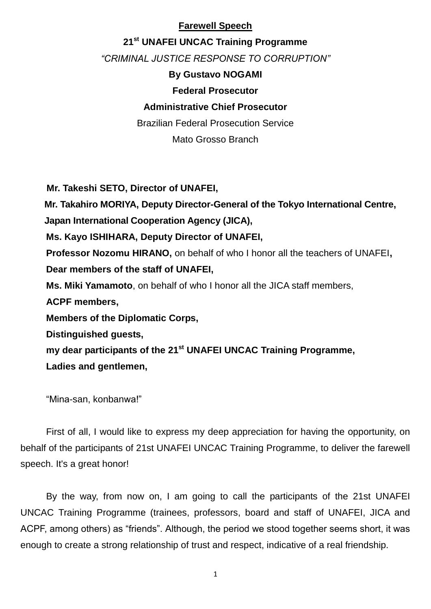### **Farewell Speech**

## **21st UNAFEI UNCAC Training Programme**

*"CRIMINAL JUSTICE RESPONSE TO CORRUPTION"*

## **By Gustavo NOGAMI**

## **Federal Prosecutor**

# **Administrative Chief Prosecutor**

Brazilian Federal Prosecution Service

Mato Grosso Branch

**Mr. Takeshi SETO, Director of UNAFEI, Mr. Takahiro MORIYA, Deputy Director-General of the Tokyo International Centre,**

**Japan International Cooperation Agency (JICA),**

**Ms. Kayo ISHIHARA, Deputy Director of UNAFEI,**

**Professor Nozomu HIRANO,** on behalf of who I honor all the teachers of UNAFEI**, Dear members of the staff of UNAFEI,**

**Ms. Miki Yamamoto**, on behalf of who I honor all the JICA staff members,

**ACPF members,**

**Members of the Diplomatic Corps,**

**Distinguished guests,**

**my dear participants of the 21st UNAFEI UNCAC Training Programme,**

**Ladies and gentlemen,**

"Mina-san, konbanwa!"

First of all, I would like to express my deep appreciation for having the opportunity, on behalf of the participants of 21st UNAFEI UNCAC Training Programme, to deliver the farewell speech. It's a great honor!

By the way, from now on, I am going to call the participants of the 21st UNAFEI UNCAC Training Programme (trainees, professors, board and staff of UNAFEI, JICA and ACPF, among others) as "friends". Although, the period we stood together seems short, it was enough to create a strong relationship of trust and respect, indicative of a real friendship.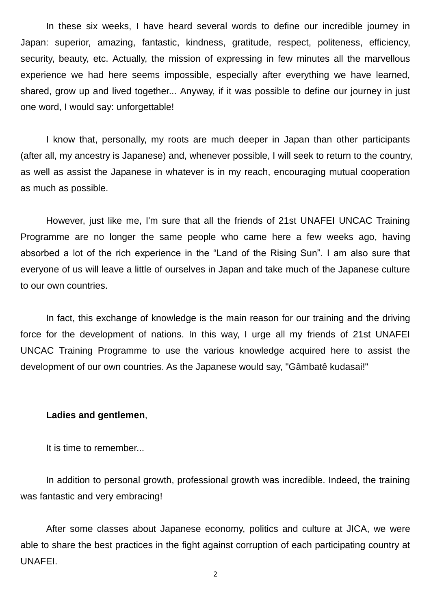In these six weeks, I have heard several words to define our incredible journey in Japan: superior, amazing, fantastic, kindness, gratitude, respect, politeness, efficiency, security, beauty, etc. Actually, the mission of expressing in few minutes all the marvellous experience we had here seems impossible, especially after everything we have learned, shared, grow up and lived together... Anyway, if it was possible to define our journey in just one word, I would say: unforgettable!

I know that, personally, my roots are much deeper in Japan than other participants (after all, my ancestry is Japanese) and, whenever possible, I will seek to return to the country, as well as assist the Japanese in whatever is in my reach, encouraging mutual cooperation as much as possible.

However, just like me, I'm sure that all the friends of 21st UNAFEI UNCAC Training Programme are no longer the same people who came here a few weeks ago, having absorbed a lot of the rich experience in the "Land of the Rising Sun". I am also sure that everyone of us will leave a little of ourselves in Japan and take much of the Japanese culture to our own countries.

In fact, this exchange of knowledge is the main reason for our training and the driving force for the development of nations. In this way, I urge all my friends of 21st UNAFEI UNCAC Training Programme to use the various knowledge acquired here to assist the development of our own countries. As the Japanese would say, "Gâmbatê kudasai!"

#### **Ladies and gentlemen**,

It is time to remember...

In addition to personal growth, professional growth was incredible. Indeed, the training was fantastic and very embracing!

After some classes about Japanese economy, politics and culture at JICA, we were able to share the best practices in the fight against corruption of each participating country at UNAFEI.

2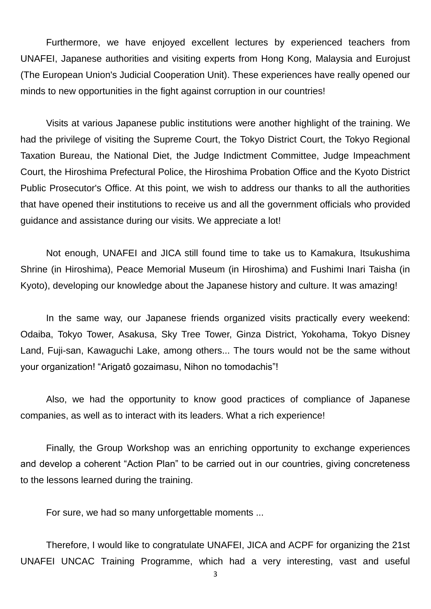Furthermore, we have enjoyed excellent lectures by experienced teachers from UNAFEI, Japanese authorities and visiting experts from Hong Kong, Malaysia and Eurojust (The European Union's Judicial Cooperation Unit). These experiences have really opened our minds to new opportunities in the fight against corruption in our countries!

Visits at various Japanese public institutions were another highlight of the training. We had the privilege of visiting the Supreme Court, the Tokyo District Court, the Tokyo Regional Taxation Bureau, the National Diet, the Judge Indictment Committee, Judge Impeachment Court, the Hiroshima Prefectural Police, the Hiroshima Probation Office and the Kyoto District Public Prosecutor's Office. At this point, we wish to address our thanks to all the authorities that have opened their institutions to receive us and all the government officials who provided guidance and assistance during our visits. We appreciate a lot!

Not enough, UNAFEI and JICA still found time to take us to Kamakura, Itsukushima Shrine (in Hiroshima), Peace Memorial Museum (in Hiroshima) and Fushimi Inari Taisha (in Kyoto), developing our knowledge about the Japanese history and culture. It was amazing!

In the same way, our Japanese friends organized visits practically every weekend: Odaiba, Tokyo Tower, Asakusa, Sky Tree Tower, Ginza District, Yokohama, Tokyo Disney Land, Fuji-san, Kawaguchi Lake, among others... The tours would not be the same without your organization! "Arigatô gozaimasu, Nihon no tomodachis"!

Also, we had the opportunity to know good practices of compliance of Japanese companies, as well as to interact with its leaders. What a rich experience!

Finally, the Group Workshop was an enriching opportunity to exchange experiences and develop a coherent "Action Plan" to be carried out in our countries, giving concreteness to the lessons learned during the training.

For sure, we had so many unforgettable moments ...

Therefore, I would like to congratulate UNAFEI, JICA and ACPF for organizing the 21st UNAFEI UNCAC Training Programme, which had a very interesting, vast and useful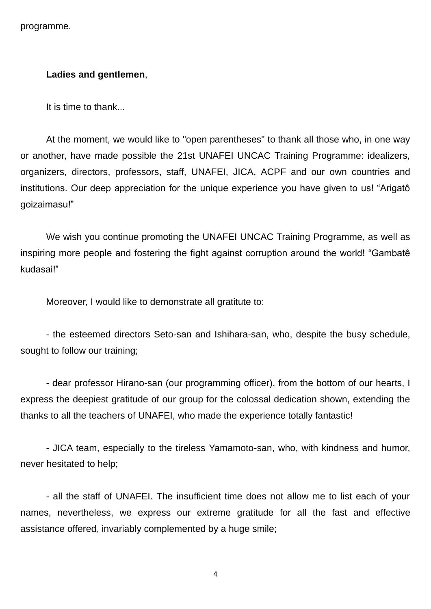programme.

#### **Ladies and gentlemen**,

It is time to thank...

At the moment, we would like to "open parentheses" to thank all those who, in one way or another, have made possible the 21st UNAFEI UNCAC Training Programme: idealizers, organizers, directors, professors, staff, UNAFEI, JICA, ACPF and our own countries and institutions. Our deep appreciation for the unique experience you have given to us! "Arigatô goizaimasu!"

We wish you continue promoting the UNAFEI UNCAC Training Programme, as well as inspiring more people and fostering the fight against corruption around the world! "Gambatê kudasai!"

Moreover, I would like to demonstrate all gratitute to:

- the esteemed directors Seto-san and Ishihara-san, who, despite the busy schedule, sought to follow our training;

- dear professor Hirano-san (our programming officer), from the bottom of our hearts, I express the deepiest gratitude of our group for the colossal dedication shown, extending the thanks to all the teachers of UNAFEI, who made the experience totally fantastic!

- JICA team, especially to the tireless Yamamoto-san, who, with kindness and humor, never hesitated to help;

- all the staff of UNAFEI. The insufficient time does not allow me to list each of your names, nevertheless, we express our extreme gratitude for all the fast and effective assistance offered, invariably complemented by a huge smile;

4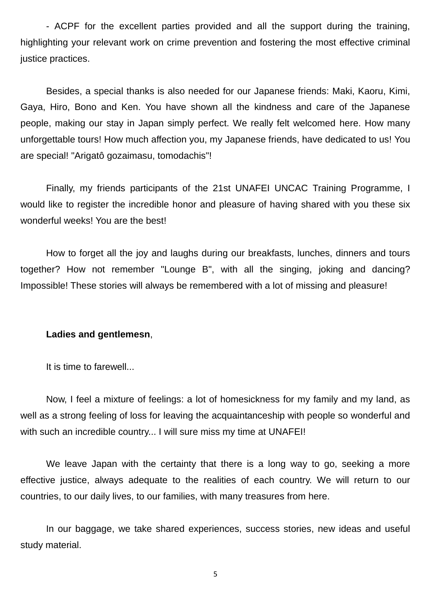- ACPF for the excellent parties provided and all the support during the training, highlighting your relevant work on crime prevention and fostering the most effective criminal justice practices.

Besides, a special thanks is also needed for our Japanese friends: Maki, Kaoru, Kimi, Gaya, Hiro, Bono and Ken. You have shown all the kindness and care of the Japanese people, making our stay in Japan simply perfect. We really felt welcomed here. How many unforgettable tours! How much affection you, my Japanese friends, have dedicated to us! You are special! "Arigatô gozaimasu, tomodachis"!

Finally, my friends participants of the 21st UNAFEI UNCAC Training Programme, I would like to register the incredible honor and pleasure of having shared with you these six wonderful weeks! You are the best!

How to forget all the joy and laughs during our breakfasts, lunches, dinners and tours together? How not remember "Lounge B", with all the singing, joking and dancing? Impossible! These stories will always be remembered with a lot of missing and pleasure!

### **Ladies and gentlemesn**,

It is time to farewell...

Now, I feel a mixture of feelings: a lot of homesickness for my family and my land, as well as a strong feeling of loss for leaving the acquaintanceship with people so wonderful and with such an incredible country... I will sure miss my time at UNAFEI!

We leave Japan with the certainty that there is a long way to go, seeking a more effective justice, always adequate to the realities of each country. We will return to our countries, to our daily lives, to our families, with many treasures from here.

In our baggage, we take shared experiences, success stories, new ideas and useful study material.

5